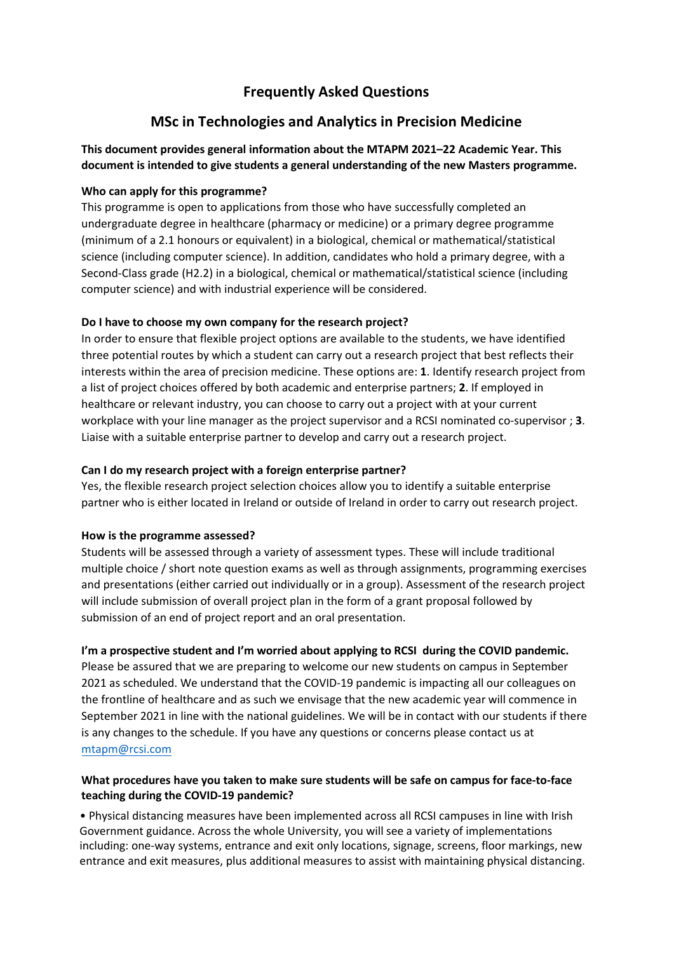## **Frequently Asked Questions**

# **MSc in Technologies and Analytics in Precision Medicine**

## **This document provides general information about the MTAPM 2021–22 Academic Year. This document is intended to give students a general understanding of the new Masters programme.**

## **Who can apply for this programme?**

This programme is open to applications from those who have successfully completed an undergraduate degree in healthcare (pharmacy or medicine) or a primary degree programme (minimum of a 2.1 honours or equivalent) in a biological, chemical or mathematical/statistical science (including computer science). In addition, candidates who hold a primary degree, with a Second-Class grade (H2.2) in a biological, chemical or mathematical/statistical science (including computer science) and with industrial experience will be considered.

## **Do I have to choose my own company for the research project?**

In order to ensure that flexible project options are available to the students, we have identified three potential routes by which a student can carry out a research project that best reflects their interests within the area of precision medicine. These options are: **1**. Identify research project from a list of project choices offered by both academic and enterprise partners; **2**. If employed in healthcare or relevant industry, you can choose to carry out a project with at your current workplace with your line manager as the project supervisor and a RCSI nominated co-supervisor ; **3**. Liaise with a suitable enterprise partner to develop and carry out a research project.

## **Can I do my research project with a foreign enterprise partner?**

Yes, the flexible research project selection choices allow you to identify a suitable enterprise partner who is either located in Ireland or outside of Ireland in order to carry out research project.

## **How is the programme assessed?**

Students will be assessed through a variety of assessment types. These will include traditional multiple choice / short note question exams as well as through assignments, programming exercises and presentations (either carried out individually or in a group). Assessment of the research project will include submission of overall project plan in the form of a grant proposal followed by submission of an end of project report and an oral presentation.

## **I'm a prospective student and I'm worried about applying to RCSI during the COVID pandemic.**

Please be assured that we are preparing to welcome our new students on campus in September 2021 as scheduled. We understand that the COVID-19 pandemic is impacting all our colleagues on the frontline of healthcare and as such we envisage that the new academic year will commence in September 2021 in line with the national guidelines. We will be in contact with our students if there [is any changes to](mailto:mtapm@rcsi.com) the schedule. If you have any questions or concerns please contact us at mtapm@rcsi.com

## **What procedures have you taken to make sure students will be safe on campus for face-to-face teaching during the COVID-19 pandemic?**

• Physical distancing measures have been implemented across all RCSI campuses in line with Irish Government guidance. Across the whole University, you will see a variety of implementations including: one-way systems, entrance and exit only locations, signage, screens, floor markings, new entrance and exit measures, plus additional measures to assist with maintaining physical distancing.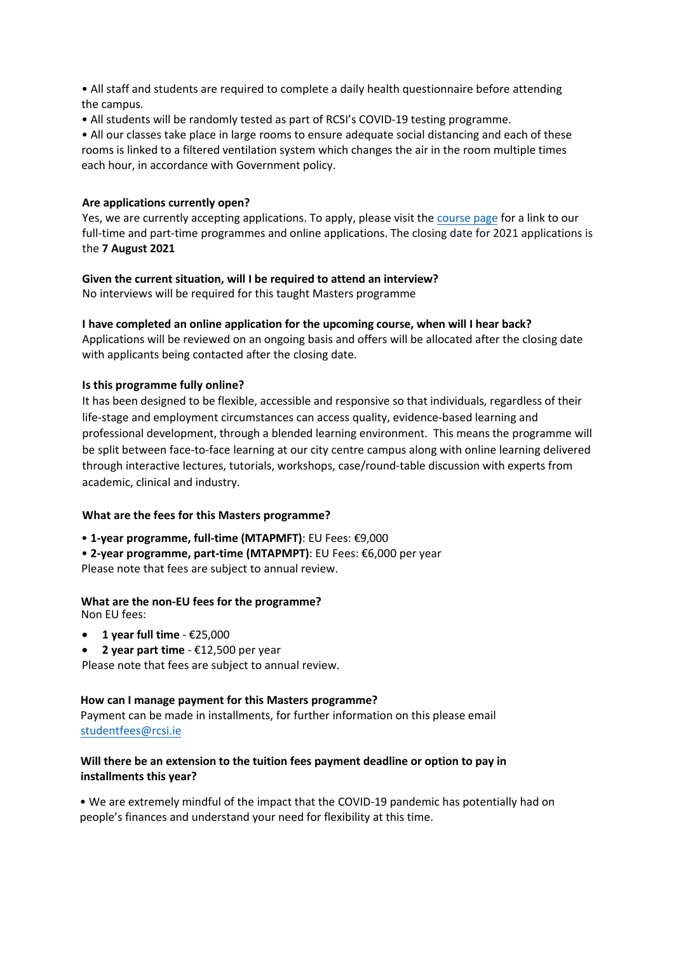• All staff and students are required to complete a daily health questionnaire before attending the campus.

• All students will be randomly tested as part of RCSI's COVID-19 testing programme.

• All our classes take place in large rooms to ensure adequate social distancing and each of these rooms is linked to a filtered ventilation system which changes the air in the room multiple times each hour, in accordance with Government policy.

#### **Are applications currently open?**

Yes, we are currently accepting applications. To apply, please visit the [course page](https://www.rcsi.com/dublin/postgraduate/taught-courses/technologies-and-analytics-in-precision-medicine/why-rcsi-dublin) for a link to our full-time and part-time programmes and online applications. The closing date for 2021 applications is the **7 August 2021** 

## **Given the current situation, will I be required to attend an interview?**

No interviews will be required for this taught Masters programme

## **I have completed an online application for the upcoming course, when will I hear back?**

Applications will be reviewed on an ongoing basis and offers will be allocated after the closing date with applicants being contacted after the closing date.

## **Is this programme fully online?**

It has been designed to be flexible, accessible and responsive so that individuals, regardless of their life-stage and employment circumstances can access quality, evidence-based learning and professional development, through a blended learning environment. This means the programme will be split between face-to-face learning at our city centre campus along with online learning delivered through interactive lectures, tutorials, workshops, case/round-table discussion with experts from academic, clinical and industry.

## **What are the fees for this Masters programme?**

• **1-year programme, full-time (MTAPMFT)**: EU Fees: €9,000

• **2-year programme, part-time (MTAPMPT)**: EU Fees: €6,000 per year Please note that fees are subject to annual review.

#### **What are the non-EU fees for the programme?**  Non EU fees:

- **1 year full time** €25,000
- **2 year part time** €12,500 per year

Please note that fees are subject to annual review.

## **How can I manage payment for this Masters programme?**

Payment can be made in installments, for further information on this please email studentfees@rcsi.ie

## **[Will there be an exte](mailto:studentfees@rcsi.ie)nsion to the tuition fees payment deadline or option to pay in installments this year?**

• We are extremely mindful of the impact that the COVID-19 pandemic has potentially had on people's finances and understand your need for flexibility at this time.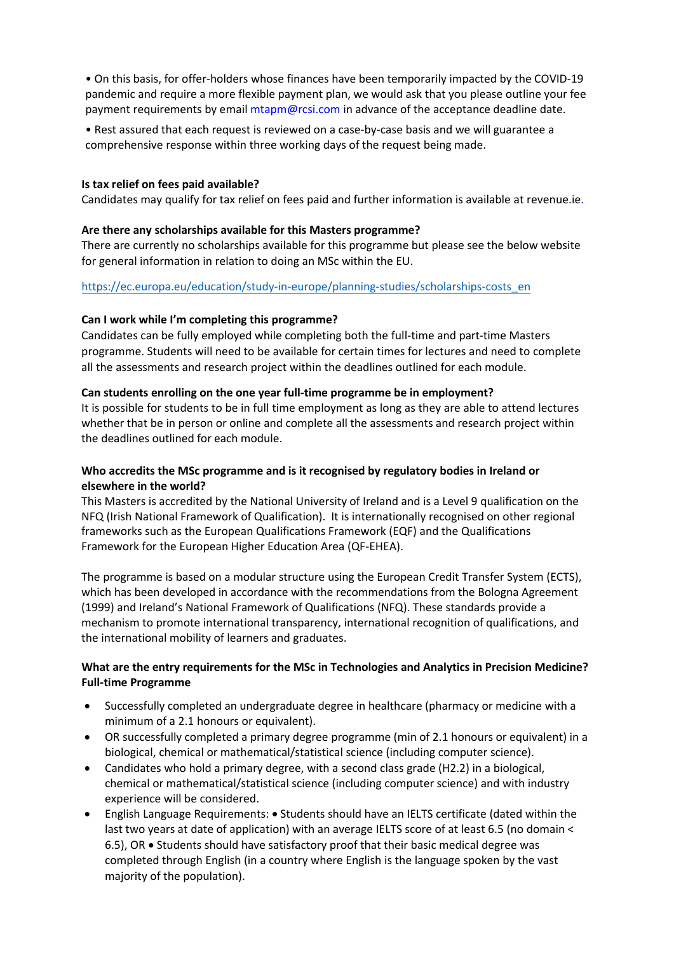• On this basis, for offer-holders whose finances have been temporarily impacted by the COVID-19 pandemic and require a more flexible payment plan, we would ask that you please outline your fee payment requirements by email mtapm@rcsi.com in advance of the acceptance deadline date.

• Rest assured that each request is reviewed on a case-by-case basis and we will guarantee a comprehensive response within three working days of the request being made.

#### **Is tax relief on fees paid available?**

Candidates may qualify for tax relief on fees paid and further information is available at revenue.ie.

#### **Are there any scholarships available for this Masters programme?**

There are currently no scholarships available for this programme but please see the below website for general information in relation to doing an MSc within the EU.

#### https://ec.europa.eu/education/study-in-europe/planning-studies/scholarships-costs\_en

#### **Can I work while I'm [completing this programme?](https://eur02.safelinks.protection.outlook.com/?url=https%3A%2F%2Fec.europa.eu%2Feducation%2Fstudy-in-europe%2Fplanning-studies%2Fscholarships-costs_en&data=04%7C01%7CSeamusHarahan%40rcsi.ie%7Cf7bdcb06f8674d80c12808d91acd9c49%7C607041e7a8124670bd3030f9db210f06%7C0%7C0%7C637570292879351069%7CUnknown%7CTWFpbGZsb3d8eyJWIjoiMC4wLjAwMDAiLCJQIjoiV2luMzIiLCJBTiI6Ik1haWwiLCJXVCI6Mn0%3D%7C1000&sdata=m64soXkUeI4S4pIBgWg%2FWTE7Z27K9zNbn2VzhvFDEF4%3D&reserved=0)**

Candidates can be fully employed while completing both the full-time and part-time Masters programme. Students will need to be available for certain times for lectures and need to complete all the assessments and research project within the deadlines outlined for each module.

#### **Can students enrolling on the one year full-time programme be in employment?**

It is possible for students to be in full time employment as long as they are able to attend lectures whether that be in person or online and complete all the assessments and research project within the deadlines outlined for each module.

## **Who accredits the MSc programme and is it recognised by regulatory bodies in Ireland or elsewhere in the world?**

This Masters is accredited by the National University of Ireland and is a Level 9 qualification on the NFQ (Irish National Framework of Qualification). It is internationally recognised on other regional frameworks such as the European Qualifications Framework (EQF) and the Qualifications Framework for the European Higher Education Area (QF-EHEA).

The programme is based on a modular structure using the European Credit Transfer System (ECTS), which has been developed in accordance with the recommendations from the Bologna Agreement (1999) and Ireland's National Framework of Qualifications (NFQ). These standards provide a mechanism to promote international transparency, international recognition of qualifications, and the international mobility of learners and graduates.

## **What are the entry requirements for the MSc in Technologies and Analytics in Precision Medicine? Full-time Programme**

- Successfully completed an undergraduate degree in healthcare (pharmacy or medicine with a minimum of a 2.1 honours or equivalent).
- OR successfully completed a primary degree programme (min of 2.1 honours or equivalent) in a biological, chemical or mathematical/statistical science (including computer science).
- Candidates who hold a primary degree, with a second class grade (H2.2) in a biological, chemical or mathematical/statistical science (including computer science) and with industry experience will be considered.
- English Language Requirements: Students should have an IELTS certificate (dated within the last two years at date of application) with an average IELTS score of at least 6.5 (no domain < 6.5), OR • Students should have satisfactory proof that their basic medical degree was completed through English (in a country where English is the language spoken by the vast majority of the population).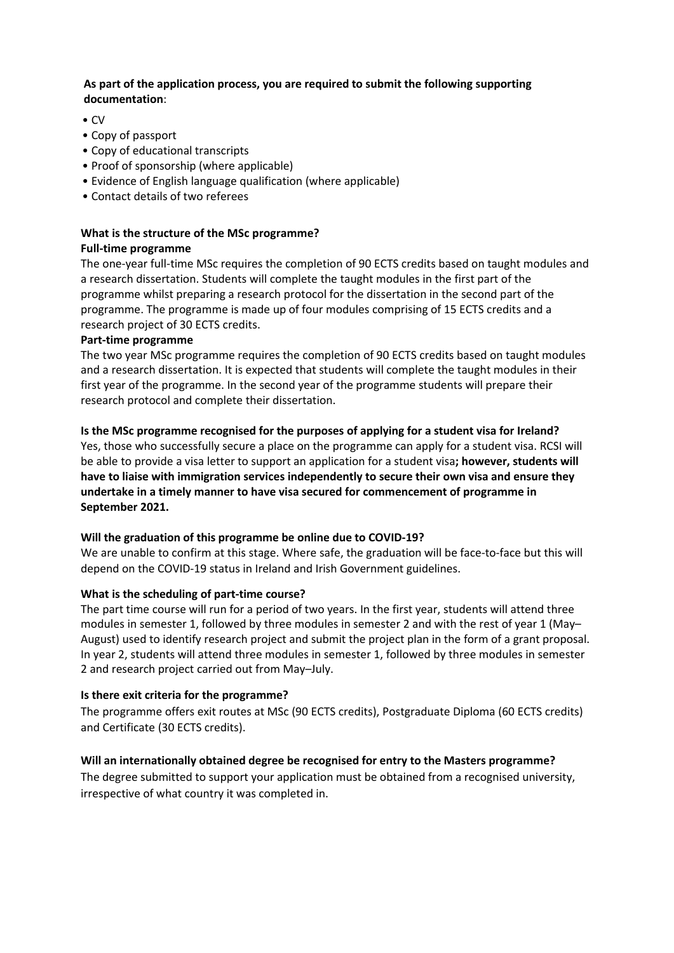## **As part of the application process, you are required to submit the following supporting documentation**:

- CV
- Copy of passport
- Copy of educational transcripts
- Proof of sponsorship (where applicable)
- Evidence of English language qualification (where applicable)
- Contact details of two referees

# **What is the structure of the MSc programme?**

## **Full-time programme**

The one-year full-time MSc requires the completion of 90 ECTS credits based on taught modules and a research dissertation. Students will complete the taught modules in the first part of the programme whilst preparing a research protocol for the dissertation in the second part of the programme. The programme is made up of four modules comprising of 15 ECTS credits and a research project of 30 ECTS credits.

## **Part-time programme**

The two year MSc programme requires the completion of 90 ECTS credits based on taught modules and a research dissertation. It is expected that students will complete the taught modules in their first year of the programme. In the second year of the programme students will prepare their research protocol and complete their dissertation.

## **Is the MSc programme recognised for the purposes of applying for a student visa for Ireland?**

Yes, those who successfully secure a place on the programme can apply for a student visa. RCSI will be able to provide a visa letter to support an application for a student visa**; however, students will have to liaise with immigration services independently to secure their own visa and ensure they undertake in a timely manner to have visa secured for commencement of programme in September 2021.**

## **Will the graduation of this programme be online due to COVID-19?**

We are unable to confirm at this stage. Where safe, the graduation will be face-to-face but this will depend on the COVID-19 status in Ireland and Irish Government guidelines.

## **What is the scheduling of part-time course?**

The part time course will run for a period of two years. In the first year, students will attend three modules in semester 1, followed by three modules in semester 2 and with the rest of year 1 (May– August) used to identify research project and submit the project plan in the form of a grant proposal. In year 2, students will attend three modules in semester 1, followed by three modules in semester 2 and research project carried out from May–July.

## **Is there exit criteria for the programme?**

The programme offers exit routes at MSc (90 ECTS credits), Postgraduate Diploma (60 ECTS credits) and Certificate (30 ECTS credits).

## **Will an internationally obtained degree be recognised for entry to the Masters programme?**

The degree submitted to support your application must be obtained from a recognised university, irrespective of what country it was completed in.